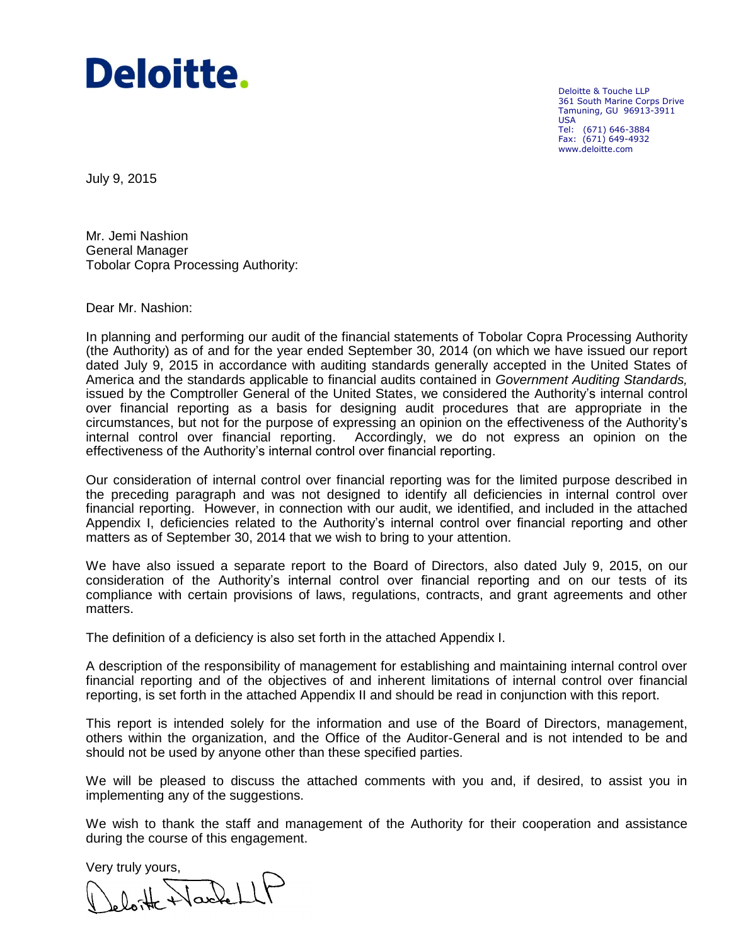# Deloitte.

Deloitte & Touche LLP 361 South Marine Corps Drive Tamuning, GU 96913-3911 USA Tel: (671) 646-3884 Fax: (671) 649-4932 www.deloitte.com

July 9, 2015

Mr. Jemi Nashion General Manager Tobolar Copra Processing Authority:

Dear Mr. Nashion:

In planning and performing our audit of the financial statements of Tobolar Copra Processing Authority (the Authority) as of and for the year ended September 30, 2014 (on which we have issued our report dated July 9, 2015 in accordance with auditing standards generally accepted in the United States of America and the standards applicable to financial audits contained in *Government Auditing Standards,*  issued by the Comptroller General of the United States, we considered the Authority's internal control over financial reporting as a basis for designing audit procedures that are appropriate in the circumstances, but not for the purpose of expressing an opinion on the effectiveness of the Authority's internal control over financial reporting. Accordingly, we do not express an opinion on the effectiveness of the Authority's internal control over financial reporting.

Our consideration of internal control over financial reporting was for the limited purpose described in the preceding paragraph and was not designed to identify all deficiencies in internal control over financial reporting. However, in connection with our audit, we identified, and included in the attached Appendix I, deficiencies related to the Authority's internal control over financial reporting and other matters as of September 30, 2014 that we wish to bring to your attention.

We have also issued a separate report to the Board of Directors, also dated July 9, 2015, on our consideration of the Authority's internal control over financial reporting and on our tests of its compliance with certain provisions of laws, regulations, contracts, and grant agreements and other matters.

The definition of a deficiency is also set forth in the attached Appendix I.

A description of the responsibility of management for establishing and maintaining internal control over financial reporting and of the objectives of and inherent limitations of internal control over financial reporting, is set forth in the attached Appendix II and should be read in conjunction with this report.

This report is intended solely for the information and use of the Board of Directors, management, others within the organization, and the Office of the Auditor-General and is not intended to be and should not be used by anyone other than these specified parties.

We will be pleased to discuss the attached comments with you and, if desired, to assist you in implementing any of the suggestions.

We wish to thank the staff and management of the Authority for their cooperation and assistance during the course of this engagement.

Very truly yours,<br> $\bigcup_{k,l\alpha,\downarrow k}\bigcup_{k\alpha,\downarrow k}\bigcup_{l}I\bigcap$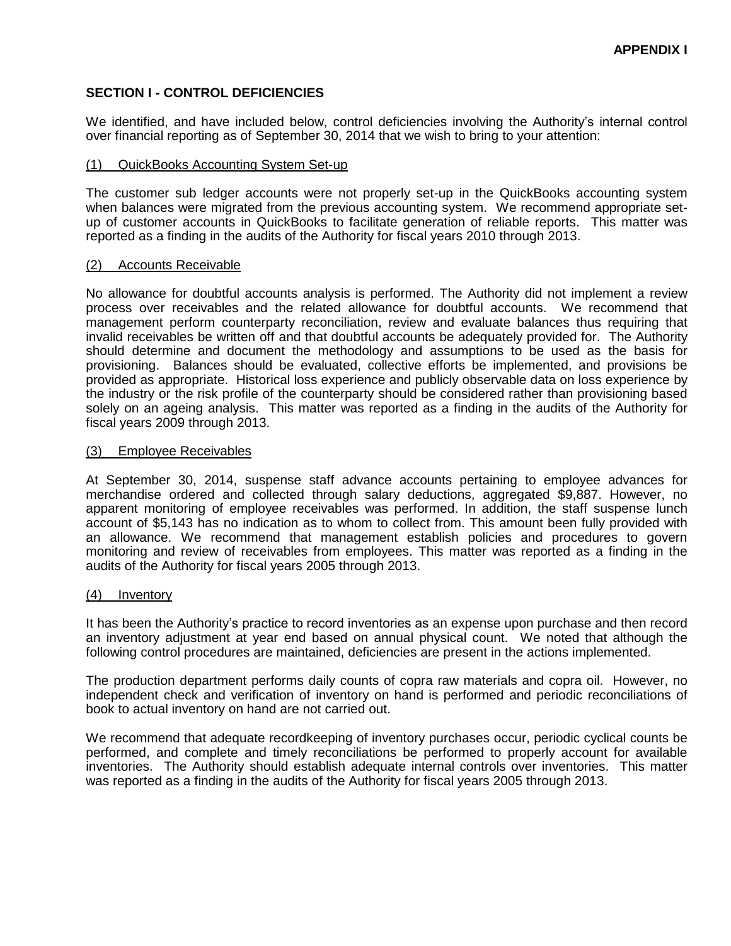# **SECTION I - CONTROL DEFICIENCIES**

We identified, and have included below, control deficiencies involving the Authority's internal control over financial reporting as of September 30, 2014 that we wish to bring to your attention:

## (1) QuickBooks Accounting System Set-up

The customer sub ledger accounts were not properly set-up in the QuickBooks accounting system when balances were migrated from the previous accounting system. We recommend appropriate setup of customer accounts in QuickBooks to facilitate generation of reliable reports. This matter was reported as a finding in the audits of the Authority for fiscal years 2010 through 2013.

## (2) Accounts Receivable

No allowance for doubtful accounts analysis is performed. The Authority did not implement a review process over receivables and the related allowance for doubtful accounts. We recommend that management perform counterparty reconciliation, review and evaluate balances thus requiring that invalid receivables be written off and that doubtful accounts be adequately provided for. The Authority should determine and document the methodology and assumptions to be used as the basis for provisioning. Balances should be evaluated, collective efforts be implemented, and provisions be provided as appropriate. Historical loss experience and publicly observable data on loss experience by the industry or the risk profile of the counterparty should be considered rather than provisioning based solely on an ageing analysis. This matter was reported as a finding in the audits of the Authority for fiscal years 2009 through 2013.

## (3) Employee Receivables

At September 30, 2014, suspense staff advance accounts pertaining to employee advances for merchandise ordered and collected through salary deductions, aggregated \$9,887. However, no apparent monitoring of employee receivables was performed. In addition, the staff suspense lunch account of \$5,143 has no indication as to whom to collect from. This amount been fully provided with an allowance. We recommend that management establish policies and procedures to govern monitoring and review of receivables from employees. This matter was reported as a finding in the audits of the Authority for fiscal years 2005 through 2013.

#### (4) Inventory

It has been the Authority's practice to record inventories as an expense upon purchase and then record an inventory adjustment at year end based on annual physical count. We noted that although the following control procedures are maintained, deficiencies are present in the actions implemented.

The production department performs daily counts of copra raw materials and copra oil. However, no independent check and verification of inventory on hand is performed and periodic reconciliations of book to actual inventory on hand are not carried out.

We recommend that adequate recordkeeping of inventory purchases occur, periodic cyclical counts be performed, and complete and timely reconciliations be performed to properly account for available inventories. The Authority should establish adequate internal controls over inventories. This matter was reported as a finding in the audits of the Authority for fiscal years 2005 through 2013.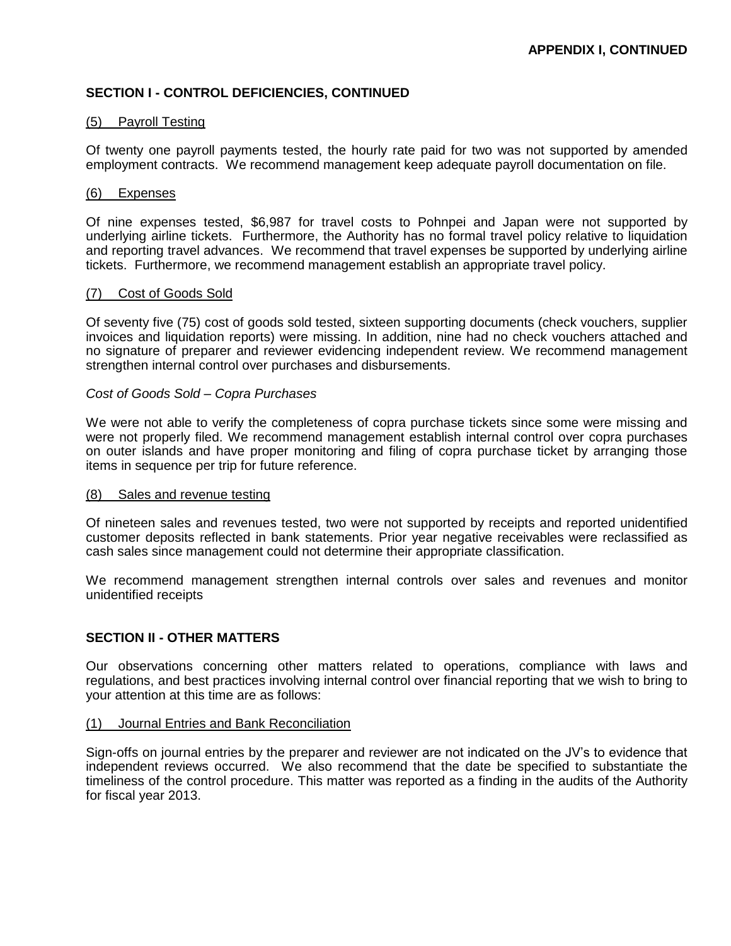# **SECTION I - CONTROL DEFICIENCIES, CONTINUED**

# (5) Payroll Testing

Of twenty one payroll payments tested, the hourly rate paid for two was not supported by amended employment contracts. We recommend management keep adequate payroll documentation on file.

#### (6) Expenses

Of nine expenses tested, \$6,987 for travel costs to Pohnpei and Japan were not supported by underlying airline tickets. Furthermore, the Authority has no formal travel policy relative to liquidation and reporting travel advances. We recommend that travel expenses be supported by underlying airline tickets. Furthermore, we recommend management establish an appropriate travel policy.

## (7) Cost of Goods Sold

Of seventy five (75) cost of goods sold tested, sixteen supporting documents (check vouchers, supplier invoices and liquidation reports) were missing. In addition, nine had no check vouchers attached and no signature of preparer and reviewer evidencing independent review. We recommend management strengthen internal control over purchases and disbursements.

## *Cost of Goods Sold – Copra Purchases*

We were not able to verify the completeness of copra purchase tickets since some were missing and were not properly filed. We recommend management establish internal control over copra purchases on outer islands and have proper monitoring and filing of copra purchase ticket by arranging those items in sequence per trip for future reference.

#### (8) Sales and revenue testing

Of nineteen sales and revenues tested, two were not supported by receipts and reported unidentified customer deposits reflected in bank statements. Prior year negative receivables were reclassified as cash sales since management could not determine their appropriate classification.

We recommend management strengthen internal controls over sales and revenues and monitor unidentified receipts

# **SECTION II - OTHER MATTERS**

Our observations concerning other matters related to operations, compliance with laws and regulations, and best practices involving internal control over financial reporting that we wish to bring to your attention at this time are as follows:

#### (1) Journal Entries and Bank Reconciliation

Sign-offs on journal entries by the preparer and reviewer are not indicated on the JV's to evidence that independent reviews occurred. We also recommend that the date be specified to substantiate the timeliness of the control procedure. This matter was reported as a finding in the audits of the Authority for fiscal year 2013.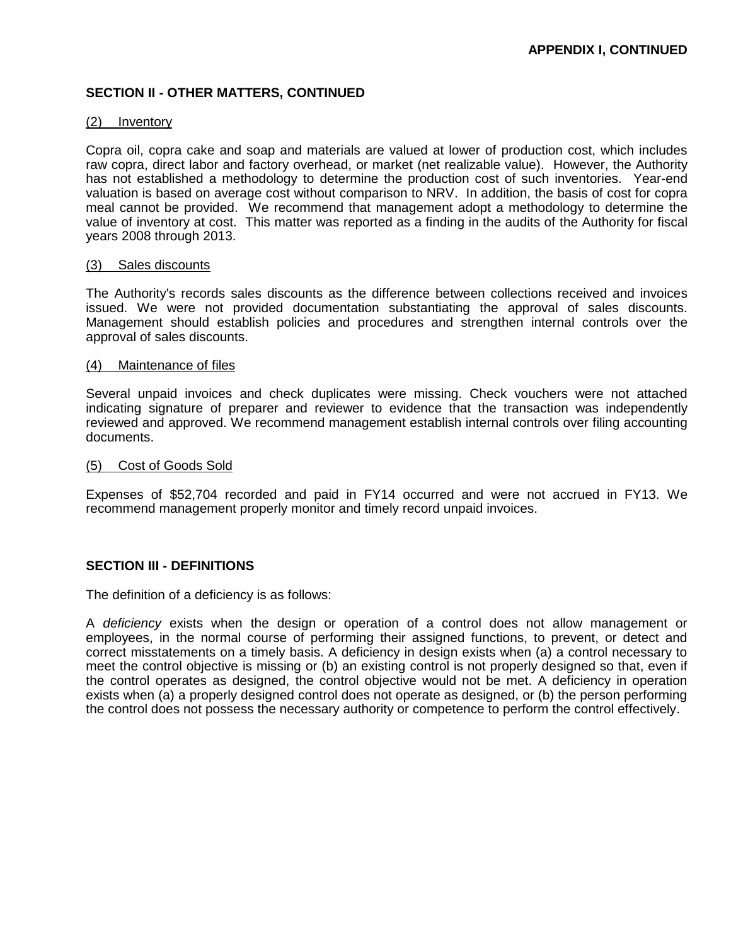# **SECTION II - OTHER MATTERS, CONTINUED**

#### (2) Inventory

Copra oil, copra cake and soap and materials are valued at lower of production cost, which includes raw copra, direct labor and factory overhead, or market (net realizable value). However, the Authority has not established a methodology to determine the production cost of such inventories. Year-end valuation is based on average cost without comparison to NRV. In addition, the basis of cost for copra meal cannot be provided. We recommend that management adopt a methodology to determine the value of inventory at cost. This matter was reported as a finding in the audits of the Authority for fiscal years 2008 through 2013.

# (3) Sales discounts

The Authority's records sales discounts as the difference between collections received and invoices issued. We were not provided documentation substantiating the approval of sales discounts. Management should establish policies and procedures and strengthen internal controls over the approval of sales discounts.

## (4) Maintenance of files

Several unpaid invoices and check duplicates were missing. Check vouchers were not attached indicating signature of preparer and reviewer to evidence that the transaction was independently reviewed and approved. We recommend management establish internal controls over filing accounting documents.

## (5) Cost of Goods Sold

Expenses of \$52,704 recorded and paid in FY14 occurred and were not accrued in FY13. We recommend management properly monitor and timely record unpaid invoices.

# **SECTION III - DEFINITIONS**

The definition of a deficiency is as follows:

A *deficiency* exists when the design or operation of a control does not allow management or employees, in the normal course of performing their assigned functions, to prevent, or detect and correct misstatements on a timely basis. A deficiency in design exists when (a) a control necessary to meet the control objective is missing or (b) an existing control is not properly designed so that, even if the control operates as designed, the control objective would not be met. A deficiency in operation exists when (a) a properly designed control does not operate as designed, or (b) the person performing the control does not possess the necessary authority or competence to perform the control effectively.